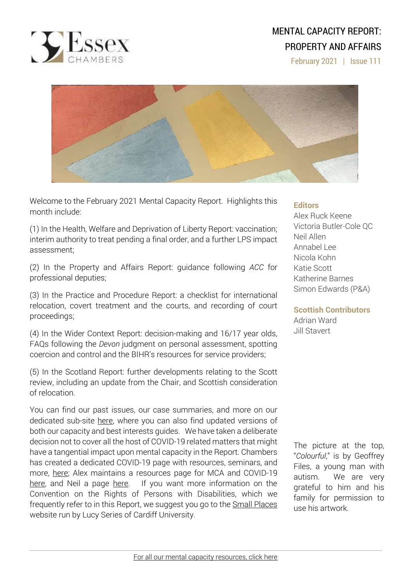

# MENTAL CAPACITY REPORT: PROPERTY AND AFFAIRS

February 2021 | Issue 111



Welcome to the February 2021 Mental Capacity Report. Highlights this month include:

(1) In the Health, Welfare and Deprivation of Liberty Report: vaccination; interim authority to treat pending a final order, and a further LPS impact assessment;

(2) In the Property and Affairs Report: guidance following *ACC* for professional deputies;

(3) In the Practice and Procedure Report: a checklist for international relocation, covert treatment and the courts, and recording of court proceedings;

(4) In the Wider Context Report: decision-making and 16/17 year olds, FAQs following the *Devon* judgment on personal assessment, spotting coercion and control and the BIHR's resources for service providers;

(5) In the Scotland Report: further developments relating to the Scott review, including an update from the Chair, and Scottish consideration of relocation.

You can find our past issues, our case summaries, and more on our dedicated sub-site [here,](http://www.39essex.com/resources-and-training/mental-capacity-law/) where you can also find updated versions of both our capacity and best interests guides. We have taken a deliberate decision not to cover all the host of COVID-19 related matters that might have a tangential impact upon mental capacity in the Report. Chambers has created a dedicated COVID-19 page with resources, seminars, and more, [here;](https://www.39essex.com/covid-19/) Alex maintains a resources page for MCA and COVID-19 [here,](https://www.mentalcapacitylawandpolicy.org.uk/resources-2/covid-19-and-the-mca-2005/) and Neil a page [here.](https://lpslaw.co.uk/Covid/) If you want more information on the Convention on the Rights of Persons with Disabilities, which we frequently refer to in this Report, we suggest you go to the **Small [Places](https://thesmallplaces.wordpress.com/resources-on-legal-capacity-and-the-united-nations-convention-on-the-rights-of-persons-with-disabilities/new-to-the-un-convention-on-the-rights-of-persons-with-disabilities/)** website run by Lucy Series of Cardiff University.

#### **Editors**

Alex Ruck Keene Victoria Butler-Cole QC Neil Allen Annabel Lee Nicola Kohn Katie Scott Katherine Barnes Simon Edwards (P&A)

**Scottish Contributors** Adrian Ward Jill Stavert

The picture at the top, "*Colourful*," is by Geoffrey Files, a young man with autism. We are very grateful to him and his family for permission to use his artwork.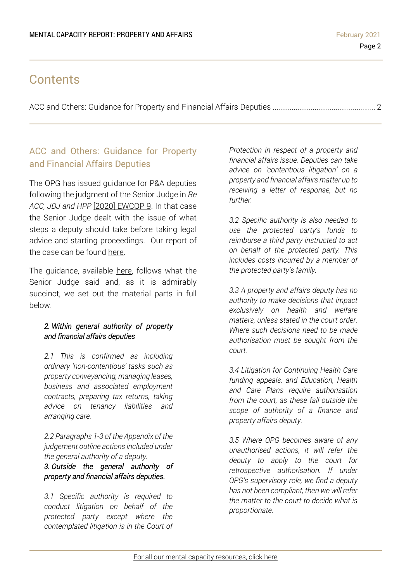## **Contents**

ACC and Others: Guidance for Property and Financial Affairs Deputies [......................................................](#page-1-0) 2

### <span id="page-1-0"></span>ACC and Others: Guidance for Property and Financial Affairs Deputies

The OPG has issued guidance for P&A deputies following the judgment of the Senior Judge in *Re ACC, JDJ and HPP* [2020] [EWCOP](https://www.39essex.com/cop_cases/re-acc-jdj-and-hpp/) 9. In that case the Senior Judge dealt with the issue of what steps a deputy should take before taking legal advice and starting proceedings. Our report of the case can be found [here.](https://www.39essex.com/cop_cases/re-acc-jdj-and-hpp/)

The guidance, available [here,](https://www.gov.uk/government/publications/new-guidance-for-deputies-in-response-to-acc-judgement/acc-and-others-guidance-for-property-and-financial-affairs-deputies-web-version) follows what the Senior Judge said and, as it is admirably succinct, we set out the material parts in full below.

#### *2. Within general authority of property and financial affairs deputies*

*2.1 This is confirmed as including ordinary 'non-contentious' tasks such as property conveyancing, managing leases, business and associated employment contracts, preparing tax returns, taking advice on tenancy liabilities and arranging care.*

*2.2 Paragraphs 1-3 of the Appendix of the judgement outline actions included under the general authority of a deputy.*

#### *3. Outside the general authority of property and financial affairs deputies.*

*3.1 Specific authority is required to conduct litigation on behalf of the protected party except where the contemplated litigation is in the Court of* 

*Protection in respect of a property and financial affairs issue. Deputies can take advice on 'contentious litigation' on a property and financial affairs matter up to receiving a letter of response, but no further.*

*3.2 Specific authority is also needed to use the protected party's funds to reimburse a third party instructed to act on behalf of the protected party. This includes costs incurred by a member of the protected party's family.*

*3.3 A property and affairs deputy has no authority to make decisions that impact exclusively on health and welfare matters, unless stated in the court order. Where such decisions need to be made authorisation must be sought from the court.*

*3.4 Litigation for Continuing Health Care funding appeals, and Education, Health and Care Plans require authorisation from the court, as these fall outside the scope of authority of a finance and property affairs deputy.*

*3.5 Where OPG becomes aware of any unauthorised actions, it will refer the deputy to apply to the court for retrospective authorisation. If under OPG's supervisory role, we find a deputy has not been compliant, then we will refer the matter to the court to decide what is proportionate.*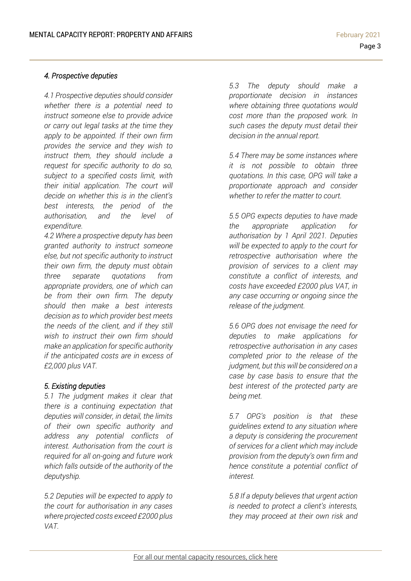#### *4. Prospective deputies*

*4.1 Prospective deputies should consider whether there is a potential need to instruct someone else to provide advice or carry out legal tasks at the time they apply to be appointed. If their own firm provides the service and they wish to instruct them, they should include a request for specific authority to do so, subject to a specified costs limit, with their initial application. The court will decide on whether this is in the client's best interests, the period of the authorisation, and the level of expenditure.*

*4.2 Where a prospective deputy has been granted authority to instruct someone else, but not specific authority to instruct their own firm, the deputy must obtain three separate quotations from appropriate providers, one of which can be from their own firm. The deputy should then make a best interests decision as to which provider best meets the needs of the client, and if they still wish to instruct their own firm should make an application for specific authority if the anticipated costs are in excess of £2,000 plus VAT.*

#### *5. Existing deputies*

*5.1 The judgment makes it clear that there is a continuing expectation that deputies will consider, in detail, the limits of their own specific authority and address any potential conflicts of interest. Authorisation from the court is required for all on-going and future work which falls outside of the authority of the deputyship.*

*5.2 Deputies will be expected to apply to the court for authorisation in any cases where projected costs exceed £2000 plus VAT.*

*5.3 The deputy should make a proportionate decision in instances where obtaining three quotations would cost more than the proposed work. In such cases the deputy must detail their decision in the annual report.*

*5.4 There may be some instances where it is not possible to obtain three quotations. In this case, OPG will take a proportionate approach and consider whether to refer the matter to court.*

*5.5 OPG expects deputies to have made the appropriate application for authorisation by 1 April 2021. Deputies will be expected to apply to the court for retrospective authorisation where the provision of services to a client may constitute a conflict of interests, and costs have exceeded £2000 plus VAT, in any case occurring or ongoing since the release of the judgment.*

*5.6 OPG does not envisage the need for deputies to make applications for retrospective authorisation in any cases completed prior to the release of the judgment, but this will be considered on a case by case basis to ensure that the best interest of the protected party are being met.*

*5.7 OPG's position is that these guidelines extend to any situation where a deputy is considering the procurement of services for a client which may include provision from the deputy's own firm and hence constitute a potential conflict of interest.*

*5.8 If a deputy believes that urgent action is needed to protect a client's interests, they may proceed at their own risk and*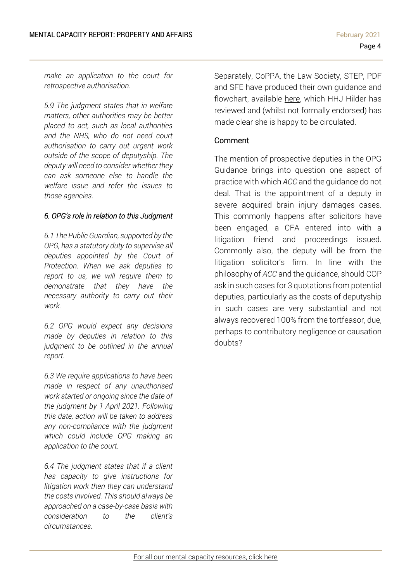*make an application to the court for retrospective authorisation.*

*5.9 The judgment states that in welfare matters, other authorities may be better placed to act, such as local authorities and the NHS, who do not need court authorisation to carry out urgent work outside of the scope of deputyship. The deputy will need to consider whether they can ask someone else to handle the welfare issue and refer the issues to those agencies.*

#### *6. OPG's role in relation to this Judgment*

*6.1 The Public Guardian, supported by the OPG, has a statutory duty to supervise all deputies appointed by the Court of Protection. When we ask deputies to report to us, we will require them to demonstrate that they have the necessary authority to carry out their work.*

*6.2 OPG would expect any decisions made by deputies in relation to this judgment to be outlined in the annual report.*

*6.3 We require applications to have been made in respect of any unauthorised work started or ongoing since the date of the judgment by 1 April 2021. Following this date, action will be taken to address any non-compliance with the judgment which could include OPG making an application to the court.*

*6.4 The judgment states that if a client has capacity to give instructions for litigation work then they can understand the costs involved. This should always be approached on a case-by-case basis with consideration to the client's circumstances.*

Separately, CoPPA, the Law Society, STEP, PDF and SFE have produced their own guidance and flowchart, available [here,](https://www.coppagroup.org/events-and-news/re-aac-guidance-) which HHJ Hilder has reviewed and (whilst not formally endorsed) has made clear she is happy to be circulated.

#### Comment

The mention of prospective deputies in the OPG Guidance brings into question one aspect of practice with which *ACC* and the guidance do not deal. That is the appointment of a deputy in severe acquired brain injury damages cases. This commonly happens after solicitors have been engaged, a CFA entered into with a litigation friend and proceedings issued. Commonly also, the deputy will be from the litigation solicitor's firm. In line with the philosophy of *ACC* and the guidance, should COP ask in such cases for 3 quotations from potential deputies, particularly as the costs of deputyship in such cases are very substantial and not always recovered 100% from the tortfeasor, due, perhaps to contributory negligence or causation doubts?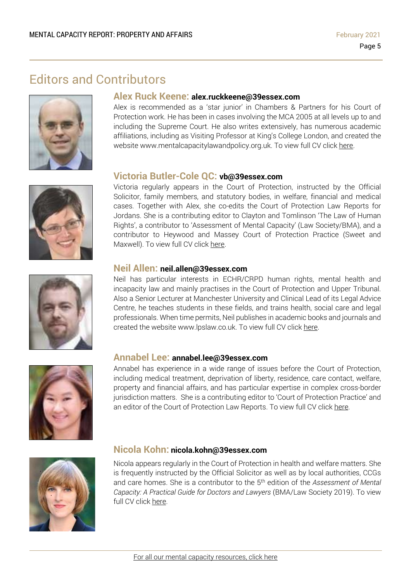### Editors and Contributors







#### **Alex Ruck Keene: alex.ruckkeene@39essex.com**

Alex is recommended as a 'star junior' in Chambers & Partners for his Court of Protection work. He has been in cases involving the MCA 2005 at all levels up to and including the Supreme Court. He also writes extensively, has numerous academic affiliations, including as Visiting Professor at King's College London, and created the website www.mentalcapacitylawandpolicy.org.uk. To view full CV click [here.](http://www.39essex.com/barrister/alexander-ruck-keene/)

#### **Victoria Butler-Cole QC: vb@39essex.com**

Victoria regularly appears in the Court of Protection, instructed by the Official Solicitor, family members, and statutory bodies, in welfare, financial and medical cases. Together with Alex, she co-edits the Court of Protection Law Reports for Jordans. She is a contributing editor to Clayton and Tomlinson 'The Law of Human Rights', a contributor to 'Assessment of Mental Capacity' (Law Society/BMA), and a contributor to Heywood and Massey Court of Protection Practice (Sweet and Maxwell). To view full CV click [here.](http://www.39essex.com/barrister/victoria-butler-cole/)

### **Neil Allen: neil.allen@39essex.com**

Neil has particular interests in ECHR/CRPD human rights, mental health and incapacity law and mainly practises in the Court of Protection and Upper Tribunal. Also a Senior Lecturer at Manchester University and Clinical Lead of its Legal Advice Centre, he teaches students in these fields, and trains health, social care and legal professionals. When time permits, Neil publishes in academic books and journals and created the website www.lpslaw.co.uk. To view full CV click [here.](http://www.39essex.com/barrister/neil-allen/)



#### **Annabel Lee: annabel.lee@39essex.com**

Annabel has experience in a wide range of issues before the Court of Protection, including medical treatment, deprivation of liberty, residence, care contact, welfare, property and financial affairs, and has particular expertise in complex cross-border jurisdiction matters. She is a contributing editor to 'Court of Protection Practice' and an editor of the Court of Protection Law Reports. To view full CV click [here.](http://www.39essex.com/barrister/annabel-lee/)



#### **Nicola Kohn: nicola.kohn@39essex.com**

Nicola appears regularly in the Court of Protection in health and welfare matters. She is frequently instructed by the Official Solicitor as well as by local authorities, CCGs and care homes. She is a contributor to the 5 th edition of the *Assessment of Mental Capacity: A Practical Guide for Doctors and Lawyers* (BMA/Law Society 2019). To view full CV click [here.](http://www.39essex.com/barrister/nicola-kohn/)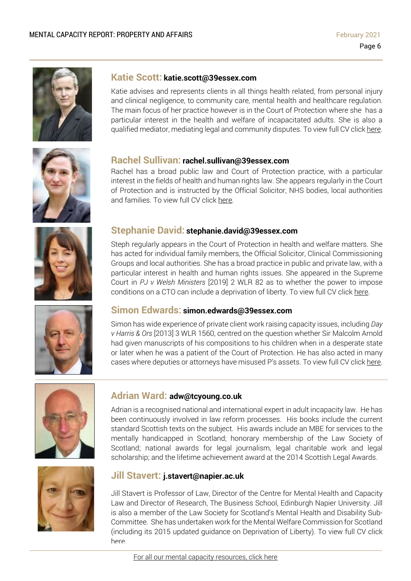

#### **Katie Scott: katie.scott@39essex.com**

Katie advises and represents clients in all things health related, from personal injury and clinical negligence, to community care, mental health and healthcare regulation. The main focus of her practice however is in the Court of Protection where she has a particular interest in the health and welfare of incapacitated adults. She is also a qualified mediator, mediating legal and community disputes. To view full CV click [here.](http://www.39essex.com/barrister/katharine-scott/)



#### **Rachel Sullivan: rachel.sullivan@39essex.com**

Rachel has a broad public law and Court of Protection practice, with a particular interest in the fields of health and human rights law. She appears regularly in the Court of Protection and is instructed by the Official Solicitor, NHS bodies, local authorities and families. To view full CV click [here.](https://www.39essex.com/barrister/rachel-sullivan/)



### **Stephanie David: stephanie.david@39essex.com**

Steph regularly appears in the Court of Protection in health and welfare matters. She has acted for individual family members, the Official Solicitor, Clinical Commissioning Groups and local authorities. She has a broad practice in public and private law, with a particular interest in health and human rights issues. She appeared in the Supreme Court in *PJ v Welsh Ministers* [2019] 2 WLR 82 as to whether the power to impose conditions on a CTO can include a deprivation of liberty. To view full CV click [here.](http://www.39essex.com/barrister/simon-edwards/)



#### **Simon Edwards: simon.edwards@39essex.com**

Simon has wide experience of private client work raising capacity issues, including *Day v Harris & Ors* [2013] 3 WLR 1560, centred on the question whether Sir Malcolm Arnold had given manuscripts of his compositions to his children when in a desperate state or later when he was a patient of the Court of Protection. He has also acted in many cases where deputies or attorneys have misused P's assets. To view full CV click [here.](http://www.39essex.com/barrister/simon-edwards/)



#### **Adrian Ward: adw@tcyoung.co.uk**

Adrian is a recognised national and international expert in adult incapacity law. He has been continuously involved in law reform processes. His books include the current standard Scottish texts on the subject. His awards include an MBE for services to the mentally handicapped in Scotland; honorary membership of the Law Society of Scotland; national awards for legal journalism, legal charitable work and legal scholarship; and the lifetime achievement award at the 2014 Scottish Legal Awards.



#### **Jill Stavert: j.stavert@napier.ac.uk**

Jill Stavert is Professor of Law, Director of the Centre for Mental Health and Capacity Law and Director of Research, The Business School, Edinburgh Napier University. Jill is also a member of the Law Society for Scotland's Mental Health and Disability Sub-Committee. She has undertaken work for the Mental Welfare Commission for Scotland (including its 2015 updated guidance on Deprivation of Liberty). To view full CV click [here.](http://www.napier.ac.uk/people/jill-stavert)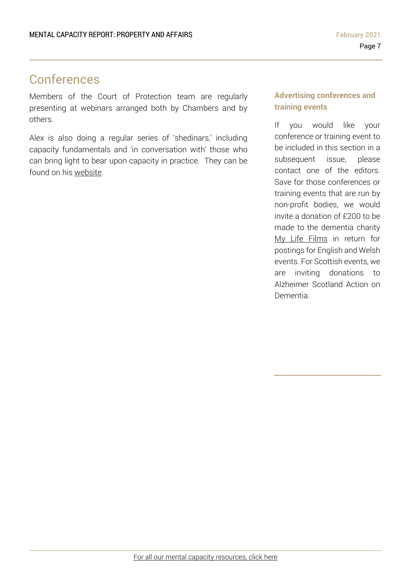## Conferences

Members of the Court of Protection team are regularly presenting at webinars arranged both by Chambers and by others.

Alex is also doing a regular series of 'shedinars,' including capacity fundamentals and 'in conversation with' those who can bring light to bear upon capacity in practice. They can be found on his [website.](https://www.mentalcapacitylawandpolicy.org.uk/)

### **Advertising conferences and training events**

If you would like your conference or training event to be included in this section in a subsequent issue, please contact one of the editors. Save for those conferences or training events that are run by non-profit bodies, we would invite a donation of £200 to be made to the dementia charity My Life Films in return for postings for English and Welsh events. For Scottish events, we are inviting donations to Alzheimer Scotland Action on Dementia.